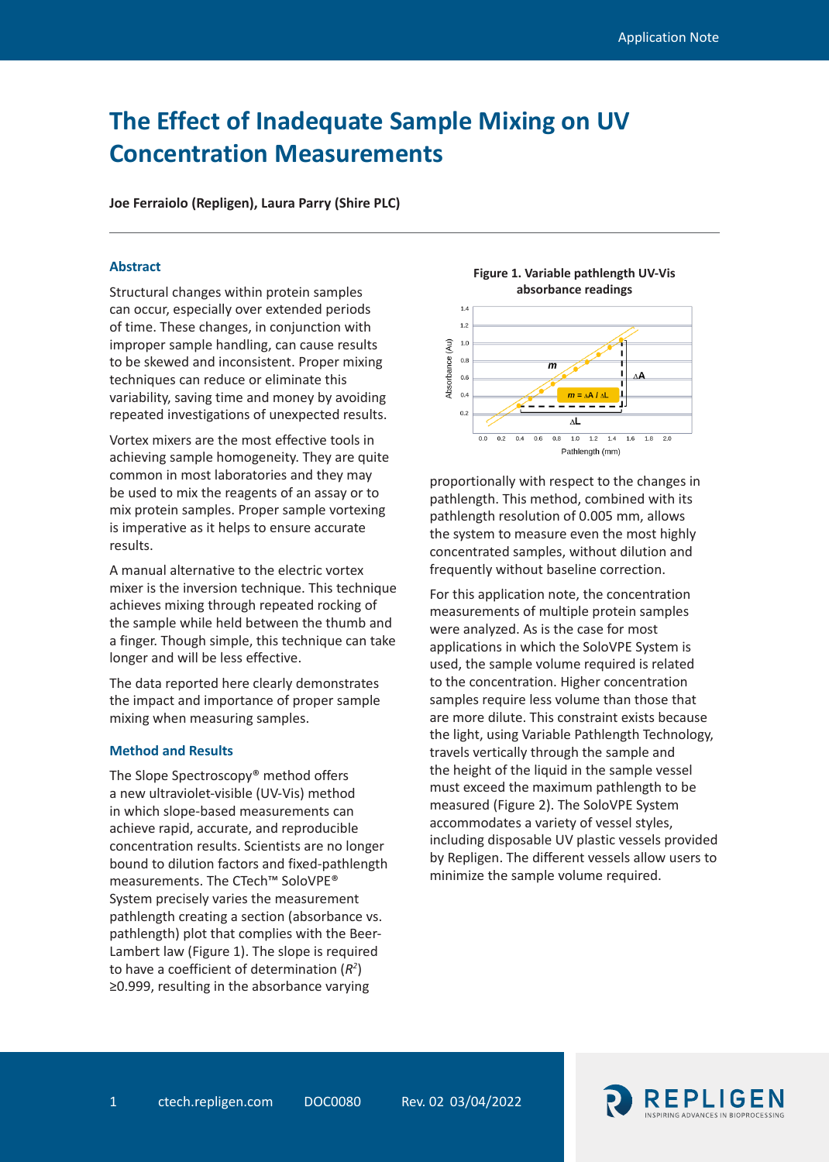# **The Effect of Inadequate Sample Mixing on UV Concentration Measurements**

**Joe Ferraiolo (Repligen), Laura Parry (Shire PLC)**

### **Abstract**

Structural changes within protein samples can occur, especially over extended periods of time. These changes, in conjunction with improper sample handling, can cause results to be skewed and inconsistent. Proper mixing techniques can reduce or eliminate this variability, saving time and money by avoiding repeated investigations of unexpected results.

Vortex mixers are the most effective tools in achieving sample homogeneity. They are quite common in most laboratories and they may be used to mix the reagents of an assay or to mix protein samples. Proper sample vortexing is imperative as it helps to ensure accurate results.

A manual alternative to the electric vortex mixer is the inversion technique. This technique achieves mixing through repeated rocking of the sample while held between the thumb and a finger. Though simple, this technique can take longer and will be less effective.

The data reported here clearly demonstrates the impact and importance of proper sample mixing when measuring samples.

## **Method and Results**

The Slope Spectroscopy® method offers a new ultraviolet-visible (UV-Vis) method in which slope-based measurements can achieve rapid, accurate, and reproducible concentration results. Scientists are no longer bound to dilution factors and fixed-pathlength measurements. The CTech™ SoloVPE® System precisely varies the measurement pathlength creating a section (absorbance vs. pathlength) plot that complies with the Beer-Lambert law (Figure 1). The slope is required to have a coefficient of determination (*R2* ) ≥0.999, resulting in the absorbance varying





proportionally with respect to the changes in pathlength. This method, combined with its pathlength resolution of 0.005 mm, allows the system to measure even the most highly concentrated samples, without dilution and frequently without baseline correction.

For this application note, the concentration measurements of multiple protein samples were analyzed. As is the case for most applications in which the SoloVPE System is used, the sample volume required is related to the concentration. Higher concentration samples require less volume than those that are more dilute. This constraint exists because the light, using Variable Pathlength Technology, travels vertically through the sample and the height of the liquid in the sample vessel must exceed the maximum pathlength to be measured (Figure 2). The SoloVPE System accommodates a variety of vessel styles, including disposable UV plastic vessels provided by Repligen. The different vessels allow users to minimize the sample volume required.

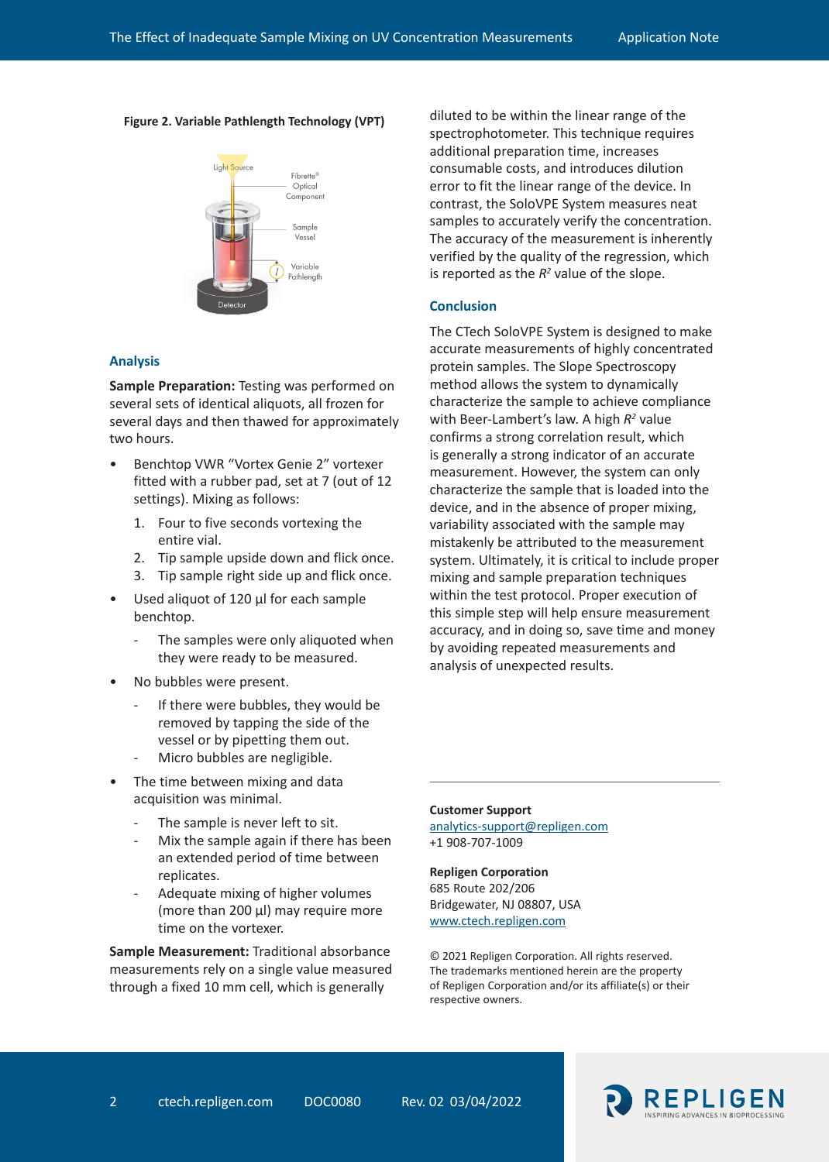### **Figure 2. Variable Pathlength Technology (VPT)**



## **Analysis**

**Sample Preparation:** Testing was performed on several sets of identical aliquots, all frozen for several days and then thawed for approximately two hours.

- Benchtop VWR "Vortex Genie 2" vortexer fitted with a rubber pad, set at 7 (out of 12 settings). Mixing as follows:
	- 1. Four to five seconds vortexing the entire vial.
	- 2. Tip sample upside down and flick once.
	- 3. Tip sample right side up and flick once.
- Used aliquot of 120 µl for each sample benchtop.
	- The samples were only aliquoted when they were ready to be measured.
- No bubbles were present.
	- If there were bubbles, they would be removed by tapping the side of the vessel or by pipetting them out.
	- Micro bubbles are negligible.
- The time between mixing and data acquisition was minimal.
	- The sample is never left to sit.
	- Mix the sample again if there has been an extended period of time between replicates.
	- Adequate mixing of higher volumes (more than 200 µl) may require more time on the vortexer.

**Sample Measurement:** Traditional absorbance measurements rely on a single value measured through a fixed 10 mm cell, which is generally

diluted to be within the linear range of the spectrophotometer. This technique requires additional preparation time, increases consumable costs, and introduces dilution error to fit the linear range of the device. In contrast, the SoloVPE System measures neat samples to accurately verify the concentration. The accuracy of the measurement is inherently verified by the quality of the regression, which is reported as the  $R^2$  value of the slope.

### **Conclusion**

The CTech SoloVPE System is designed to make accurate measurements of highly concentrated protein samples. The Slope Spectroscopy method allows the system to dynamically characterize the sample to achieve compliance with Beer-Lambert's law. A high  $R^2$  value confirms a strong correlation result, which is generally a strong indicator of an accurate measurement. However, the system can only characterize the sample that is loaded into the device, and in the absence of proper mixing, variability associated with the sample may mistakenly be attributed to the measurement system. Ultimately, it is critical to include proper mixing and sample preparation techniques within the test protocol. Proper execution of this simple step will help ensure measurement accuracy, and in doing so, save time and money by avoiding repeated measurements and analysis of unexpected results.

#### **Customer Support**

analytics-support@repligen.com +1 908-707-1009

## **Repligen Corporation**

685 Route 202/206 Bridgewater, NJ 08807, USA www.ctech.repligen.com

© 2021 Repligen Corporation. All rights reserved. The trademarks mentioned herein are the property of Repligen Corporation and/or its affiliate(s) or their respective owners.